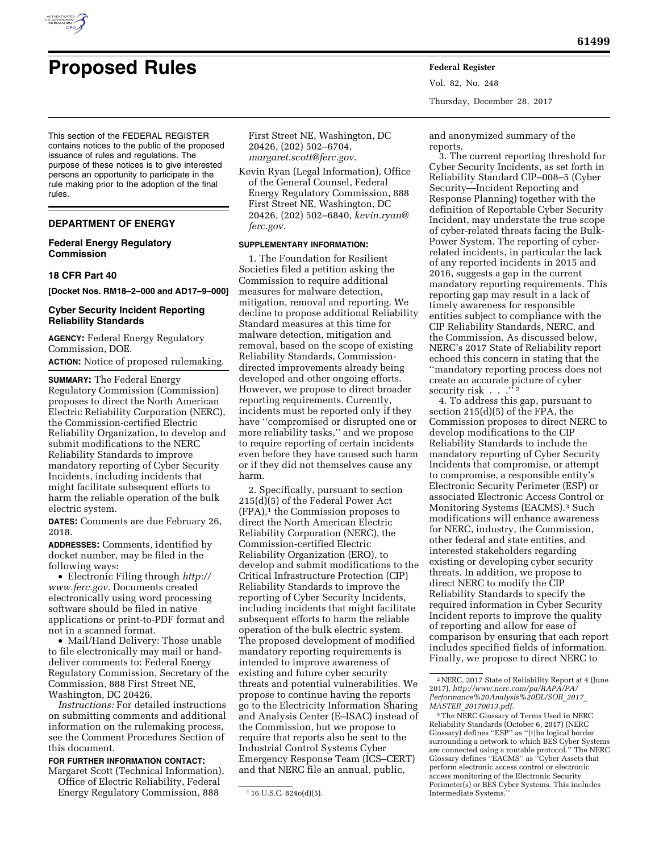

Vol. 82, No. 248 Thursday, December 28, 2017

This section of the FEDERAL REGISTER contains notices to the public of the proposed issuance of rules and regulations. The purpose of these notices is to give interested persons an opportunity to participate in the rule making prior to the adoption of the final rules.

# **DEPARTMENT OF ENERGY**

## **Federal Energy Regulatory Commission**

### **18 CFR Part 40**

**[Docket Nos. RM18–2–000 and AD17–9–000]** 

## **Cyber Security Incident Reporting Reliability Standards**

**AGENCY:** Federal Energy Regulatory Commission, DOE. **ACTION:** Notice of proposed rulemaking.

**SUMMARY:** The Federal Energy Regulatory Commission (Commission) proposes to direct the North American Electric Reliability Corporation (NERC), the Commission-certified Electric Reliability Organization, to develop and submit modifications to the NERC Reliability Standards to improve mandatory reporting of Cyber Security Incidents, including incidents that might facilitate subsequent efforts to harm the reliable operation of the bulk electric system.

**DATES:** Comments are due February 26, 2018.

**ADDRESSES:** Comments, identified by docket number, may be filed in the following ways:

• Electronic Filing through *[http://](http://www.ferc.gov) [www.ferc.gov.](http://www.ferc.gov)* Documents created electronically using word processing software should be filed in native applications or print-to-PDF format and not in a scanned format.

• Mail/Hand Delivery: Those unable to file electronically may mail or handdeliver comments to: Federal Energy Regulatory Commission, Secretary of the Commission, 888 First Street NE, Washington, DC 20426.

*Instructions:* For detailed instructions on submitting comments and additional information on the rulemaking process, see the Comment Procedures Section of this document.

## **FOR FURTHER INFORMATION CONTACT:**

Margaret Scott (Technical Information), Office of Electric Reliability, Federal Energy Regulatory Commission, 888

First Street NE, Washington, DC 20426, (202) 502–6704, *[margaret.scott@ferc.gov.](mailto:margaret.scott@ferc.gov)* 

Kevin Ryan (Legal Information), Office of the General Counsel, Federal Energy Regulatory Commission, 888 First Street NE, Washington, DC 20426, (202) 502–6840, *[kevin.ryan@](mailto:kevin.ryan@ferc.gov) [ferc.gov.](mailto:kevin.ryan@ferc.gov)* 

#### **SUPPLEMENTARY INFORMATION:**

1. The Foundation for Resilient Societies filed a petition asking the Commission to require additional measures for malware detection, mitigation, removal and reporting. We decline to propose additional Reliability Standard measures at this time for malware detection, mitigation and removal, based on the scope of existing Reliability Standards, Commissiondirected improvements already being developed and other ongoing efforts. However, we propose to direct broader reporting requirements. Currently, incidents must be reported only if they have ''compromised or disrupted one or more reliability tasks,'' and we propose to require reporting of certain incidents even before they have caused such harm or if they did not themselves cause any harm.

2. Specifically, pursuant to section 215(d)(5) of the Federal Power Act  $(FPA)<sup>1</sup>$  the Commission proposes to direct the North American Electric Reliability Corporation (NERC), the Commission-certified Electric Reliability Organization (ERO), to develop and submit modifications to the Critical Infrastructure Protection (CIP) Reliability Standards to improve the reporting of Cyber Security Incidents, including incidents that might facilitate subsequent efforts to harm the reliable operation of the bulk electric system. The proposed development of modified mandatory reporting requirements is intended to improve awareness of existing and future cyber security threats and potential vulnerabilities. We propose to continue having the reports go to the Electricity Information Sharing and Analysis Center (E–ISAC) instead of the Commission, but we propose to require that reports also be sent to the Industrial Control Systems Cyber Emergency Response Team (ICS–CERT) and that NERC file an annual, public,

and anonymized summary of the reports.

3. The current reporting threshold for Cyber Security Incidents, as set forth in Reliability Standard CIP–008–5 (Cyber Security—Incident Reporting and Response Planning) together with the definition of Reportable Cyber Security Incident, may understate the true scope of cyber-related threats facing the Bulk-Power System. The reporting of cyberrelated incidents, in particular the lack of any reported incidents in 2015 and 2016, suggests a gap in the current mandatory reporting requirements. This reporting gap may result in a lack of timely awareness for responsible entities subject to compliance with the CIP Reliability Standards, NERC, and the Commission. As discussed below, NERC's 2017 State of Reliability report echoed this concern in stating that the ''mandatory reporting process does not create an accurate picture of cyber security risk  $\cdots$ <sup>12</sup>

4. To address this gap, pursuant to section 215(d)(5) of the FPA, the Commission proposes to direct NERC to develop modifications to the CIP Reliability Standards to include the mandatory reporting of Cyber Security Incidents that compromise, or attempt to compromise, a responsible entity's Electronic Security Perimeter (ESP) or associated Electronic Access Control or Monitoring Systems (EACMS).3 Such modifications will enhance awareness for NERC, industry, the Commission, other federal and state entities, and interested stakeholders regarding existing or developing cyber security threats. In addition, we propose to direct NERC to modify the CIP Reliability Standards to specify the required information in Cyber Security Incident reports to improve the quality of reporting and allow for ease of comparison by ensuring that each report includes specified fields of information. Finally, we propose to direct NERC to

<sup>1</sup> 16 U.S.C. 824o(d)(5).

<sup>2</sup>NERC, 2017 State of Reliability Report at 4 (June 2017), *[http://www.nerc.com/pa/RAPA/PA/](http://www.nerc.com/pa/RAPA/PA/Performance%20Analysis%20DL/SOR_2017_MASTER_20170613.pdf) [Performance%20Analysis%20DL/SOR](http://www.nerc.com/pa/RAPA/PA/Performance%20Analysis%20DL/SOR_2017_MASTER_20170613.pdf)*\_*2017*\_ *MASTER*\_*[20170613.pdf.](http://www.nerc.com/pa/RAPA/PA/Performance%20Analysis%20DL/SOR_2017_MASTER_20170613.pdf)* 

<sup>3</sup>The NERC Glossary of Terms Used in NERC Reliability Standards (October 6, 2017) (NERC Glossary) defines ''ESP'' as ''[t]he logical border surrounding a network to which BES Cyber Systems are connected using a routable protocol.'' The NERC Glossary defines ''EACMS'' as ''Cyber Assets that perform electronic access control or electronic access monitoring of the Electronic Security Perimeter(s) or BES Cyber Systems. This includes Intermediate Systems.''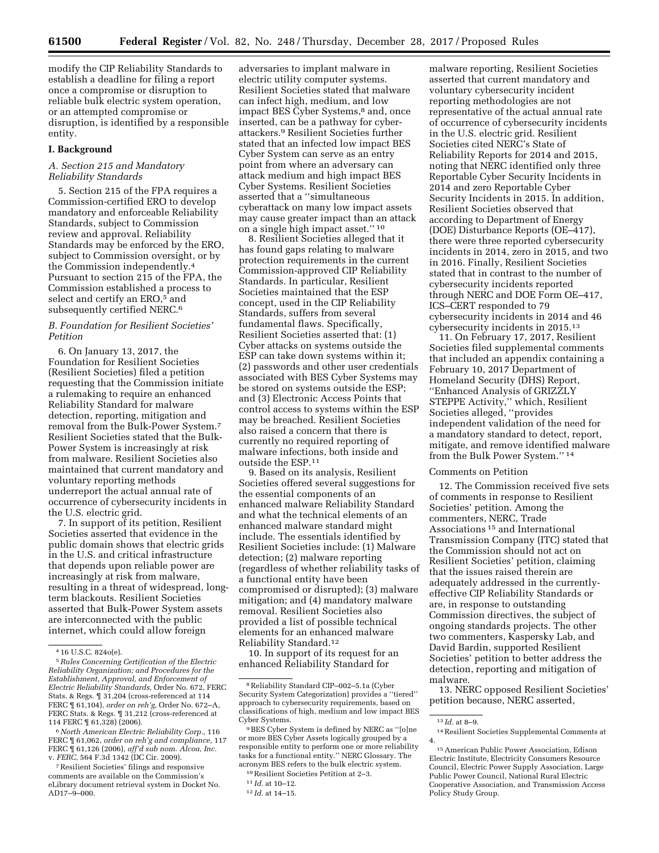modify the CIP Reliability Standards to establish a deadline for filing a report once a compromise or disruption to reliable bulk electric system operation, or an attempted compromise or disruption, is identified by a responsible entity.

### **I. Background**

# *A. Section 215 and Mandatory Reliability Standards*

5. Section 215 of the FPA requires a Commission-certified ERO to develop mandatory and enforceable Reliability Standards, subject to Commission review and approval. Reliability Standards may be enforced by the ERO, subject to Commission oversight, or by the Commission independently.4 Pursuant to section 215 of the FPA, the Commission established a process to select and certify an ERO,<sup>5</sup> and subsequently certified NERC.<sup>6</sup>

# *B. Foundation for Resilient Societies' Petition*

6. On January 13, 2017, the Foundation for Resilient Societies (Resilient Societies) filed a petition requesting that the Commission initiate a rulemaking to require an enhanced Reliability Standard for malware detection, reporting, mitigation and removal from the Bulk-Power System.7 Resilient Societies stated that the Bulk-Power System is increasingly at risk from malware. Resilient Societies also maintained that current mandatory and voluntary reporting methods underreport the actual annual rate of occurrence of cybersecurity incidents in the U.S. electric grid.

7. In support of its petition, Resilient Societies asserted that evidence in the public domain shows that electric grids in the U.S. and critical infrastructure that depends upon reliable power are increasingly at risk from malware, resulting in a threat of widespread, longterm blackouts. Resilient Societies asserted that Bulk-Power System assets are interconnected with the public internet, which could allow foreign

6*North American Electric Reliability Corp.,* 116 FERC ¶ 61,062, *order on reh'g and compliance,* 117 FERC ¶ 61,126 (2006), *aff'd sub nom. Alcoa, Inc.*  v. *FERC,* 564 F.3d 1342 (DC Cir. 2009).

7Resilient Societies' filings and responsive comments are available on the Commission's eLibrary document retrieval system in Docket No.  $AD17-\9-000$ .

adversaries to implant malware in electric utility computer systems. Resilient Societies stated that malware can infect high, medium, and low impact BES Cyber Systems,<sup>8</sup> and, once inserted, can be a pathway for cyberattackers.9 Resilient Societies further stated that an infected low impact BES Cyber System can serve as an entry point from where an adversary can attack medium and high impact BES Cyber Systems. Resilient Societies asserted that a ''simultaneous cyberattack on many low impact assets may cause greater impact than an attack on a single high impact asset.'' 10

8. Resilient Societies alleged that it has found gaps relating to malware protection requirements in the current Commission-approved CIP Reliability Standards. In particular, Resilient Societies maintained that the ESP concept, used in the CIP Reliability Standards, suffers from several fundamental flaws. Specifically, Resilient Societies asserted that: (1) Cyber attacks on systems outside the ESP can take down systems within it; (2) passwords and other user credentials associated with BES Cyber Systems may be stored on systems outside the ESP; and (3) Electronic Access Points that control access to systems within the ESP may be breached. Resilient Societies also raised a concern that there is currently no required reporting of malware infections, both inside and outside the ESP.11

9. Based on its analysis, Resilient Societies offered several suggestions for the essential components of an enhanced malware Reliability Standard and what the technical elements of an enhanced malware standard might include. The essentials identified by Resilient Societies include: (1) Malware detection; (2) malware reporting (regardless of whether reliability tasks of a functional entity have been compromised or disrupted); (3) malware mitigation; and (4) mandatory malware removal. Resilient Societies also provided a list of possible technical elements for an enhanced malware Reliability Standard.12

10. In support of its request for an enhanced Reliability Standard for

malware reporting, Resilient Societies asserted that current mandatory and voluntary cybersecurity incident reporting methodologies are not representative of the actual annual rate of occurrence of cybersecurity incidents in the U.S. electric grid. Resilient Societies cited NERC's State of Reliability Reports for 2014 and 2015, noting that NERC identified only three Reportable Cyber Security Incidents in 2014 and zero Reportable Cyber Security Incidents in 2015. In addition, Resilient Societies observed that according to Department of Energy (DOE) Disturbance Reports (OE–417), there were three reported cybersecurity incidents in 2014, zero in 2015, and two in 2016. Finally, Resilient Societies stated that in contrast to the number of cybersecurity incidents reported through NERC and DOE Form OE–417, ICS–CERT responded to 79 cybersecurity incidents in 2014 and 46 cybersecurity incidents in 2015.13

11. On February 17, 2017, Resilient Societies filed supplemental comments that included an appendix containing a February 10, 2017 Department of Homeland Security (DHS) Report, ''Enhanced Analysis of GRIZZLY STEPPE Activity,'' which, Resilient Societies alleged, ''provides independent validation of the need for a mandatory standard to detect, report, mitigate, and remove identified malware from the Bulk Power System.'' 14

### Comments on Petition

12. The Commission received five sets of comments in response to Resilient Societies' petition. Among the commenters, NERC, Trade Associations 15 and International Transmission Company (ITC) stated that the Commission should not act on Resilient Societies' petition, claiming that the issues raised therein are adequately addressed in the currentlyeffective CIP Reliability Standards or are, in response to outstanding Commission directives, the subject of ongoing standards projects. The other two commenters, Kaspersky Lab, and David Bardin, supported Resilient Societies' petition to better address the detection, reporting and mitigation of malware.

13. NERC opposed Resilient Societies' petition because, NERC asserted,

<sup>4</sup> 16 U.S.C. 824o(e).

<sup>5</sup>*Rules Concerning Certification of the Electric Reliability Organization; and Procedures for the Establishment, Approval, and Enforcement of Electric Reliability Standards,* Order No. 672, FERC Stats. & Regs. ¶ 31,204 (cross-referenced at 114 FERC ¶ 61,104), *order on reh'g,* Order No. 672–A, FERC Stats. & Regs.  $\mathbb I$  31,212 (cross-referenced at 114 FERC ¶ 61,328) (2006).

<sup>8</sup>Reliability Standard CIP–002–5.1a (Cyber Security System Categorization) provides a ''tiered'' approach to cybersecurity requirements, based on classifications of high, medium and low impact BES Cyber Systems.

<sup>9</sup>BES Cyber System is defined by NERC as ''[o]ne or more BES Cyber Assets logically grouped by a responsible entity to perform one or more reliability tasks for a functional entity.'' NERC Glossary. The acronym BES refers to the bulk electric system.

<sup>10</sup>Resilient Societies Petition at 2–3.

<sup>11</sup> *Id.* at 10–12.

<sup>12</sup> *Id.* at 14–15.

<sup>13</sup> *Id.* at 8–9.

<sup>14</sup>Resilient Societies Supplemental Comments at 4.

<sup>15</sup>American Public Power Association, Edison Electric Institute, Electricity Consumers Resource Council, Electric Power Supply Association, Large Public Power Council, National Rural Electric Cooperative Association, and Transmission Access Policy Study Group.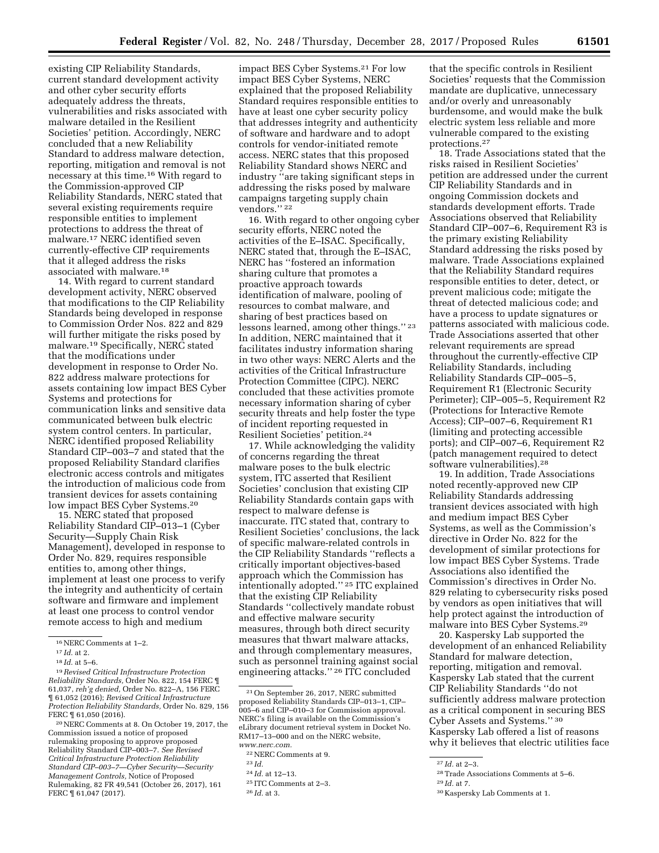existing CIP Reliability Standards, current standard development activity and other cyber security efforts adequately address the threats, vulnerabilities and risks associated with malware detailed in the Resilient Societies' petition. Accordingly, NERC concluded that a new Reliability Standard to address malware detection, reporting, mitigation and removal is not necessary at this time.16 With regard to the Commission-approved CIP Reliability Standards, NERC stated that several existing requirements require responsible entities to implement protections to address the threat of malware.17 NERC identified seven currently-effective CIP requirements that it alleged address the risks associated with malware.18

14. With regard to current standard development activity, NERC observed that modifications to the CIP Reliability Standards being developed in response to Commission Order Nos. 822 and 829 will further mitigate the risks posed by malware.19 Specifically, NERC stated that the modifications under development in response to Order No. 822 address malware protections for assets containing low impact BES Cyber Systems and protections for communication links and sensitive data communicated between bulk electric system control centers. In particular, NERC identified proposed Reliability Standard CIP–003–7 and stated that the proposed Reliability Standard clarifies electronic access controls and mitigates the introduction of malicious code from transient devices for assets containing low impact BES Cyber Systems.20

15. NERC stated that proposed Reliability Standard CIP–013–1 (Cyber Security—Supply Chain Risk Management), developed in response to Order No. 829, requires responsible entities to, among other things, implement at least one process to verify the integrity and authenticity of certain software and firmware and implement at least one process to control vendor remote access to high and medium

*Protection Reliability Standards,* Order No. 829, 156 FERC ¶ 61,050 (2016). 20NERC Comments at 8. On October 19, 2017, the

Commission issued a notice of proposed rulemaking proposing to approve proposed Reliability Standard CIP–003–7. *See Revised Critical Infrastructure Protection Reliability Standard CIP–003–7—Cyber Security—Security Management Controls,* Notice of Proposed Rulemaking, 82 FR 49,541 (October 26, 2017), 161 FERC ¶ 61,047 (2017).

impact BES Cyber Systems.21 For low impact BES Cyber Systems, NERC explained that the proposed Reliability Standard requires responsible entities to have at least one cyber security policy that addresses integrity and authenticity of software and hardware and to adopt controls for vendor-initiated remote access. NERC states that this proposed Reliability Standard shows NERC and industry ''are taking significant steps in addressing the risks posed by malware campaigns targeting supply chain vendors." <sup>22</sup>

16. With regard to other ongoing cyber security efforts, NERC noted the activities of the E–ISAC. Specifically, NERC stated that, through the E–ISAC, NERC has ''fostered an information sharing culture that promotes a proactive approach towards identification of malware, pooling of resources to combat malware, and sharing of best practices based on lessons learned, among other things.'' 23 In addition, NERC maintained that it facilitates industry information sharing in two other ways: NERC Alerts and the activities of the Critical Infrastructure Protection Committee (CIPC). NERC concluded that these activities promote necessary information sharing of cyber security threats and help foster the type of incident reporting requested in Resilient Societies' petition.24

17. While acknowledging the validity of concerns regarding the threat malware poses to the bulk electric system, ITC asserted that Resilient Societies' conclusion that existing CIP Reliability Standards contain gaps with respect to malware defense is inaccurate. ITC stated that, contrary to Resilient Societies' conclusions, the lack of specific malware-related controls in the CIP Reliability Standards ''reflects a critically important objectives-based approach which the Commission has intentionally adopted.'' 25 ITC explained that the existing CIP Reliability Standards ''collectively mandate robust and effective malware security measures, through both direct security measures that thwart malware attacks, and through complementary measures, such as personnel training against social engineering attacks." <sup>26</sup> ITC concluded

- 24 *Id.* at 12–13.
- 25 ITC Comments at 2–3.

that the specific controls in Resilient Societies' requests that the Commission mandate are duplicative, unnecessary and/or overly and unreasonably burdensome, and would make the bulk electric system less reliable and more vulnerable compared to the existing protections.27

18. Trade Associations stated that the risks raised in Resilient Societies' petition are addressed under the current CIP Reliability Standards and in ongoing Commission dockets and standards development efforts. Trade Associations observed that Reliability Standard CIP–007–6, Requirement R3 is the primary existing Reliability Standard addressing the risks posed by malware. Trade Associations explained that the Reliability Standard requires responsible entities to deter, detect, or prevent malicious code; mitigate the threat of detected malicious code; and have a process to update signatures or patterns associated with malicious code. Trade Associations asserted that other relevant requirements are spread throughout the currently-effective CIP Reliability Standards, including Reliability Standards CIP–005–5, Requirement R1 (Electronic Security Perimeter); CIP–005–5, Requirement R2 (Protections for Interactive Remote Access); CIP–007–6, Requirement R1 (limiting and protecting accessible ports); and CIP–007–6, Requirement R2 (patch management required to detect software vulnerabilities).28

19. In addition, Trade Associations noted recently-approved new CIP Reliability Standards addressing transient devices associated with high and medium impact BES Cyber Systems, as well as the Commission's directive in Order No. 822 for the development of similar protections for low impact BES Cyber Systems. Trade Associations also identified the Commission's directives in Order No. 829 relating to cybersecurity risks posed by vendors as open initiatives that will help protect against the introduction of malware into BES Cyber Systems.29

20. Kaspersky Lab supported the development of an enhanced Reliability Standard for malware detection, reporting, mitigation and removal. Kaspersky Lab stated that the current CIP Reliability Standards ''do not sufficiently address malware protection as a critical component in securing BES Cyber Assets and Systems.'' 30 Kaspersky Lab offered a list of reasons why it believes that electric utilities face

<sup>16</sup>NERC Comments at 1–2.

<sup>17</sup> *Id.* at 2.

<sup>18</sup> *Id.* at 5–6.

<sup>19</sup>*Revised Critical Infrastructure Protection Reliability Standards,* Order No. 822, 154 FERC ¶ 61,037, *reh'g denied,* Order No. 822–A, 156 FERC ¶ 61,052 (2016); *Revised Critical Infrastructure* 

<sup>21</sup>On September 26, 2017, NERC submitted proposed Reliability Standards CIP–013–1, CIP– 005–6 and CIP–010–3 for Commission approval. NERC's filing is available on the Commission's eLibrary document retrieval system in Docket No. RM17–13–000 and on the NERC website, *[www.nerc.com.](http://www.nerc.com)* 

<sup>22</sup>NERC Comments at 9.

<sup>23</sup> *Id.* 

<sup>26</sup> *Id.* at 3.

<sup>27</sup> *Id.* at 2–3.

<sup>28</sup>Trade Associations Comments at 5–6.

<sup>29</sup> *Id.* at 7.

<sup>30</sup> Kaspersky Lab Comments at 1.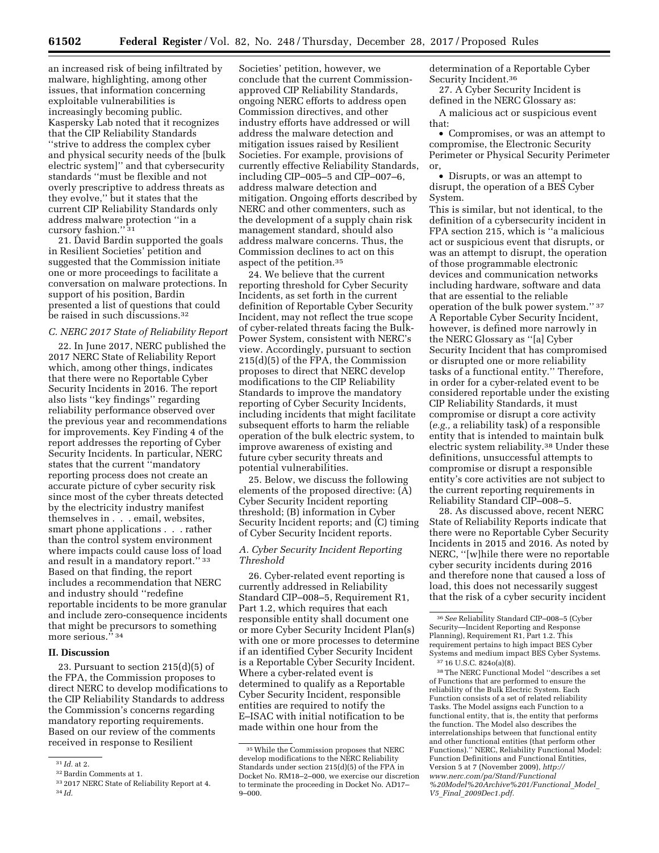an increased risk of being infiltrated by malware, highlighting, among other issues, that information concerning exploitable vulnerabilities is increasingly becoming public. Kaspersky Lab noted that it recognizes that the CIP Reliability Standards ''strive to address the complex cyber and physical security needs of the [bulk electric system]'' and that cybersecurity standards ''must be flexible and not overly prescriptive to address threats as they evolve,'' but it states that the current CIP Reliability Standards only address malware protection ''in a cursory fashion."<sup>31</sup>

21. David Bardin supported the goals in Resilient Societies' petition and suggested that the Commission initiate one or more proceedings to facilitate a conversation on malware protections. In support of his position, Bardin presented a list of questions that could be raised in such discussions.32

## *C. NERC 2017 State of Reliability Report*

22. In June 2017, NERC published the 2017 NERC State of Reliability Report which, among other things, indicates that there were no Reportable Cyber Security Incidents in 2016. The report also lists ''key findings'' regarding reliability performance observed over the previous year and recommendations for improvements. Key Finding 4 of the report addresses the reporting of Cyber Security Incidents. In particular, NERC states that the current ''mandatory reporting process does not create an accurate picture of cyber security risk since most of the cyber threats detected by the electricity industry manifest themselves in . . . email, websites, smart phone applications . . . rather than the control system environment where impacts could cause loss of load and result in a mandatory report.'' 33 Based on that finding, the report includes a recommendation that NERC and industry should ''redefine reportable incidents to be more granular and include zero-consequence incidents that might be precursors to something more serious." 34

#### **II. Discussion**

23. Pursuant to section 215(d)(5) of the FPA, the Commission proposes to direct NERC to develop modifications to the CIP Reliability Standards to address the Commission's concerns regarding mandatory reporting requirements. Based on our review of the comments received in response to Resilient

Societies' petition, however, we conclude that the current Commissionapproved CIP Reliability Standards, ongoing NERC efforts to address open Commission directives, and other industry efforts have addressed or will address the malware detection and mitigation issues raised by Resilient Societies. For example, provisions of currently effective Reliability Standards, including CIP–005–5 and CIP–007–6, address malware detection and mitigation. Ongoing efforts described by NERC and other commenters, such as the development of a supply chain risk management standard, should also address malware concerns. Thus, the Commission declines to act on this aspect of the petition.35

24. We believe that the current reporting threshold for Cyber Security Incidents, as set forth in the current definition of Reportable Cyber Security Incident, may not reflect the true scope of cyber-related threats facing the Bulk-Power System, consistent with NERC's view. Accordingly, pursuant to section 215(d)(5) of the FPA, the Commission proposes to direct that NERC develop modifications to the CIP Reliability Standards to improve the mandatory reporting of Cyber Security Incidents, including incidents that might facilitate subsequent efforts to harm the reliable operation of the bulk electric system, to improve awareness of existing and future cyber security threats and potential vulnerabilities.

25. Below, we discuss the following elements of the proposed directive: (A) Cyber Security Incident reporting threshold; (B) information in Cyber Security Incident reports; and (C) timing of Cyber Security Incident reports.

## *A. Cyber Security Incident Reporting Threshold*

26. Cyber-related event reporting is currently addressed in Reliability Standard CIP–008–5, Requirement R1, Part 1.2, which requires that each responsible entity shall document one or more Cyber Security Incident Plan(s) with one or more processes to determine if an identified Cyber Security Incident is a Reportable Cyber Security Incident. Where a cyber-related event is determined to qualify as a Reportable Cyber Security Incident, responsible entities are required to notify the E–ISAC with initial notification to be made within one hour from the

determination of a Reportable Cyber Security Incident.36

27. A Cyber Security Incident is defined in the NERC Glossary as:

A malicious act or suspicious event that:

• Compromises, or was an attempt to compromise, the Electronic Security Perimeter or Physical Security Perimeter or,

• Disrupts, or was an attempt to disrupt, the operation of a BES Cyber System.

This is similar, but not identical, to the definition of a cybersecurity incident in FPA section 215, which is ''a malicious act or suspicious event that disrupts, or was an attempt to disrupt, the operation of those programmable electronic devices and communication networks including hardware, software and data that are essential to the reliable operation of the bulk power system.'' 37 A Reportable Cyber Security Incident, however, is defined more narrowly in the NERC Glossary as ''[a] Cyber Security Incident that has compromised or disrupted one or more reliability tasks of a functional entity.'' Therefore, in order for a cyber-related event to be considered reportable under the existing CIP Reliability Standards, it must compromise or disrupt a core activity (*e.g.,* a reliability task) of a responsible entity that is intended to maintain bulk electric system reliability.38 Under these definitions, unsuccessful attempts to compromise or disrupt a responsible entity's core activities are not subject to the current reporting requirements in Reliability Standard CIP–008–5.

28. As discussed above, recent NERC State of Reliability Reports indicate that there were no Reportable Cyber Security Incidents in 2015 and 2016. As noted by NERC, ''[w]hile there were no reportable cyber security incidents during 2016 and therefore none that caused a loss of load, this does not necessarily suggest that the risk of a cyber security incident

38The NERC Functional Model ''describes a set of Functions that are performed to ensure the reliability of the Bulk Electric System. Each Function consists of a set of related reliability Tasks. The Model assigns each Function to a functional entity, that is, the entity that performs the function. The Model also describes the interrelationships between that functional entity and other functional entities (that perform other Functions).'' NERC, Reliability Functional Model: Function Definitions and Functional Entities, Version 5 at 7 (November 2009), *[http://](http://www.nerc.com/pa/Stand/Functional%20Model%20Archive%201/Functional_Model_V5_Final_2009Dec1.pdf) [www.nerc.com/pa/Stand/Functional](http://www.nerc.com/pa/Stand/Functional%20Model%20Archive%201/Functional_Model_V5_Final_2009Dec1.pdf) [%20Model%20Archive%201/Functional](http://www.nerc.com/pa/Stand/Functional%20Model%20Archive%201/Functional_Model_V5_Final_2009Dec1.pdf)*\_*Model*\_ *V5*\_*Final*\_*[2009Dec1.pdf.](http://www.nerc.com/pa/Stand/Functional%20Model%20Archive%201/Functional_Model_V5_Final_2009Dec1.pdf)* 

<sup>31</sup> *Id.* at 2.

<sup>32</sup>Bardin Comments at 1.

<sup>33</sup> 2017 NERC State of Reliability Report at 4. 34 *Id.* 

<sup>35</sup>While the Commission proposes that NERC develop modifications to the NERC Reliability Standards under section 215(d)(5) of the FPA in Docket No. RM18–2–000, we exercise our discretion to terminate the proceeding in Docket No. AD17– 9–000.

<sup>36</sup>*See* Reliability Standard CIP–008–5 (Cyber Security—Incident Reporting and Response Planning), Requirement R1, Part 1.2. This requirement pertains to high impact BES Cyber Systems and medium impact BES Cyber Systems. 37 16 U.S.C. 824o(a)(8).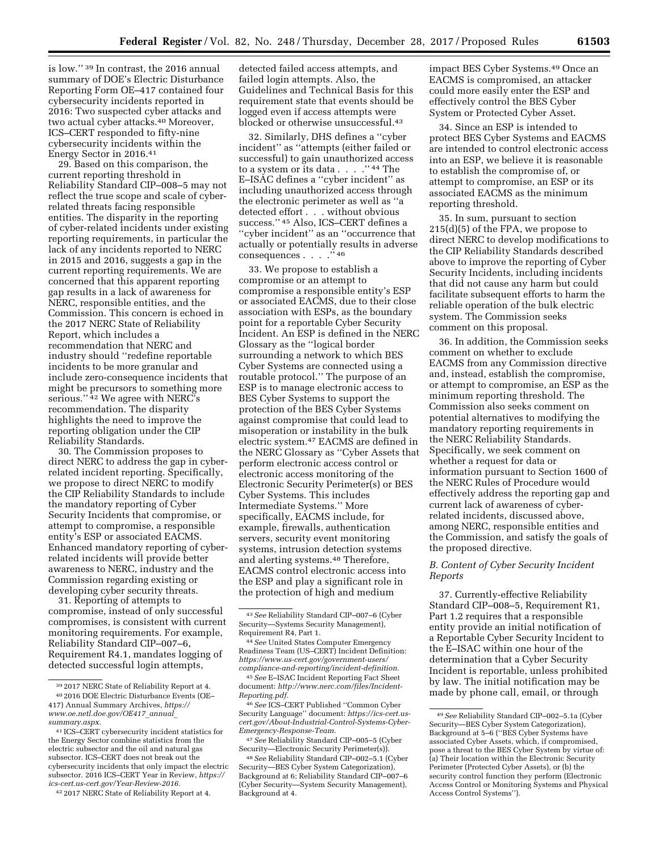is low.'' 39 In contrast, the 2016 annual summary of DOE's Electric Disturbance Reporting Form OE–417 contained four cybersecurity incidents reported in 2016: Two suspected cyber attacks and two actual cyber attacks.<sup>40</sup> Moreover, ICS–CERT responded to fifty-nine cybersecurity incidents within the Energy Sector in 2016.41

29. Based on this comparison, the current reporting threshold in Reliability Standard CIP–008–5 may not reflect the true scope and scale of cyberrelated threats facing responsible entities. The disparity in the reporting of cyber-related incidents under existing reporting requirements, in particular the lack of any incidents reported to NERC in 2015 and 2016, suggests a gap in the current reporting requirements. We are concerned that this apparent reporting gap results in a lack of awareness for NERC, responsible entities, and the Commission. This concern is echoed in the 2017 NERC State of Reliability Report, which includes a recommendation that NERC and industry should ''redefine reportable incidents to be more granular and include zero-consequence incidents that might be precursors to something more serious."<sup>42</sup> We agree with NERC's recommendation. The disparity highlights the need to improve the reporting obligation under the CIP Reliability Standards.

30. The Commission proposes to direct NERC to address the gap in cyberrelated incident reporting. Specifically, we propose to direct NERC to modify the CIP Reliability Standards to include the mandatory reporting of Cyber Security Incidents that compromise, or attempt to compromise, a responsible entity's ESP or associated EACMS. Enhanced mandatory reporting of cyberrelated incidents will provide better awareness to NERC, industry and the Commission regarding existing or developing cyber security threats.

31. Reporting of attempts to compromise, instead of only successful compromises, is consistent with current monitoring requirements. For example, Reliability Standard CIP–007–6, Requirement R4.1, mandates logging of detected successful login attempts,

detected failed access attempts, and failed login attempts. Also, the Guidelines and Technical Basis for this requirement state that events should be logged even if access attempts were blocked or otherwise unsuccessful.43

32. Similarly, DHS defines a ''cyber incident'' as ''attempts (either failed or successful) to gain unauthorized access to a system or its data . . . . . ''  $^{44}$  The  $\,$ E–ISAC defines a ''cyber incident'' as including unauthorized access through the electronic perimeter as well as ''a detected effort . . . without obvious success.'' 45 Also, ICS–CERT defines a ''cyber incident'' as an ''occurrence that actually or potentially results in adverse consequences . . . . . <sup>3</sup>46

33. We propose to establish a compromise or an attempt to compromise a responsible entity's ESP or associated EACMS, due to their close association with ESPs, as the boundary point for a reportable Cyber Security Incident. An ESP is defined in the NERC Glossary as the ''logical border surrounding a network to which BES Cyber Systems are connected using a routable protocol.'' The purpose of an ESP is to manage electronic access to BES Cyber Systems to support the protection of the BES Cyber Systems against compromise that could lead to misoperation or instability in the bulk electric system.47 EACMS are defined in the NERC Glossary as ''Cyber Assets that perform electronic access control or electronic access monitoring of the Electronic Security Perimeter(s) or BES Cyber Systems. This includes Intermediate Systems.'' More specifically, EACMS include, for example, firewalls, authentication servers, security event monitoring systems, intrusion detection systems and alerting systems.48 Therefore, EACMS control electronic access into the ESP and play a significant role in the protection of high and medium

impact BES Cyber Systems.49 Once an EACMS is compromised, an attacker could more easily enter the ESP and effectively control the BES Cyber System or Protected Cyber Asset.

34. Since an ESP is intended to protect BES Cyber Systems and EACMS are intended to control electronic access into an ESP, we believe it is reasonable to establish the compromise of, or attempt to compromise, an ESP or its associated EACMS as the minimum reporting threshold.

35. In sum, pursuant to section 215(d)(5) of the FPA, we propose to direct NERC to develop modifications to the CIP Reliability Standards described above to improve the reporting of Cyber Security Incidents, including incidents that did not cause any harm but could facilitate subsequent efforts to harm the reliable operation of the bulk electric system. The Commission seeks comment on this proposal.

36. In addition, the Commission seeks comment on whether to exclude EACMS from any Commission directive and, instead, establish the compromise, or attempt to compromise, an ESP as the minimum reporting threshold. The Commission also seeks comment on potential alternatives to modifying the mandatory reporting requirements in the NERC Reliability Standards. Specifically, we seek comment on whether a request for data or information pursuant to Section 1600 of the NERC Rules of Procedure would effectively address the reporting gap and current lack of awareness of cyberrelated incidents, discussed above, among NERC, responsible entities and the Commission, and satisfy the goals of the proposed directive.

# *B. Content of Cyber Security Incident Reports*

37. Currently-effective Reliability Standard CIP–008–5, Requirement R1, Part 1.2 requires that a responsible entity provide an initial notification of a Reportable Cyber Security Incident to the E–ISAC within one hour of the determination that a Cyber Security Incident is reportable, unless prohibited by law. The initial notification may be made by phone call, email, or through

<sup>39</sup> 2017 NERC State of Reliability Report at 4. 40 2016 DOE Electric Disturbance Events (OE– 417) Annual Summary Archives, *[https://](https://www.oe.netl.doe.gov/OE417_annual_summary.aspx) [www.oe.netl.doe.gov/OE417](https://www.oe.netl.doe.gov/OE417_annual_summary.aspx)*\_*annual*\_ *[summary.aspx.](https://www.oe.netl.doe.gov/OE417_annual_summary.aspx)* 

<sup>41</sup> ICS–CERT cybersecurity incident statistics for the Energy Sector combine statistics from the electric subsector and the oil and natural gas subsector. ICS–CERT does not break out the cybersecurity incidents that only impact the electric subsector. 2016 ICS–CERT Year in Review, *[https://](https://ics-cert.us-cert.gov/Year-Review-2016)  [ics-cert.us-cert.gov/Year-Review-2016.](https://ics-cert.us-cert.gov/Year-Review-2016)* 

<sup>42</sup> 2017 NERC State of Reliability Report at 4.

<sup>43</sup>*See* Reliability Standard CIP–007–6 (Cyber Security—Systems Security Management), Requirement R4, Part 1.

<sup>44</sup>*See* United States Computer Emergency Readiness Team (US–CERT) Incident Definition: *[https://www.us-cert.gov/government-users/](https://www.us-cert.gov/government-users/compliance-and-reporting/incident-definition)  [compliance-and-reporting/incident-definition.](https://www.us-cert.gov/government-users/compliance-and-reporting/incident-definition)* 

<sup>45</sup>*See* E–ISAC Incident Reporting Fact Sheet document: *[http://www.nerc.com/files/Incident-](http://www.nerc.com/files/Incident-Reporting.pdf)[Reporting.pdf.](http://www.nerc.com/files/Incident-Reporting.pdf)* 

<sup>46</sup>*See* ICS–CERT Published ''Common Cyber Security Language'' document: *[https://ics-cert.us](https://ics-cert.us-cert.gov/About-Industrial-Control-Systems-Cyber-Emergency-Response-Team)[cert.gov/About-Industrial-Control-Systems-Cyber-](https://ics-cert.us-cert.gov/About-Industrial-Control-Systems-Cyber-Emergency-Response-Team)[Emergency-Response-Team.](https://ics-cert.us-cert.gov/About-Industrial-Control-Systems-Cyber-Emergency-Response-Team)* 

<sup>47</sup>*See* Reliability Standard CIP–005–5 (Cyber Security—Electronic Security Perimeter(s)).

<sup>48</sup>*See* Reliability Standard CIP–002–5.1 (Cyber Security—BES Cyber System Categorization), Background at 6; Reliability Standard CIP–007–6 (Cyber Security—System Security Management), Background at 4.

<sup>49</sup>*See* Reliability Standard CIP–002–5.1a (Cyber Security—BES Cyber System Categorization), Background at 5–6 (''BES Cyber Systems have associated Cyber Assets, which, if compromised, pose a threat to the BES Cyber System by virtue of: (a) Their location within the Electronic Security Perimeter (Protected Cyber Assets), or (b) the security control function they perform (Electronic Access Control or Monitoring Systems and Physical Access Control Systems'').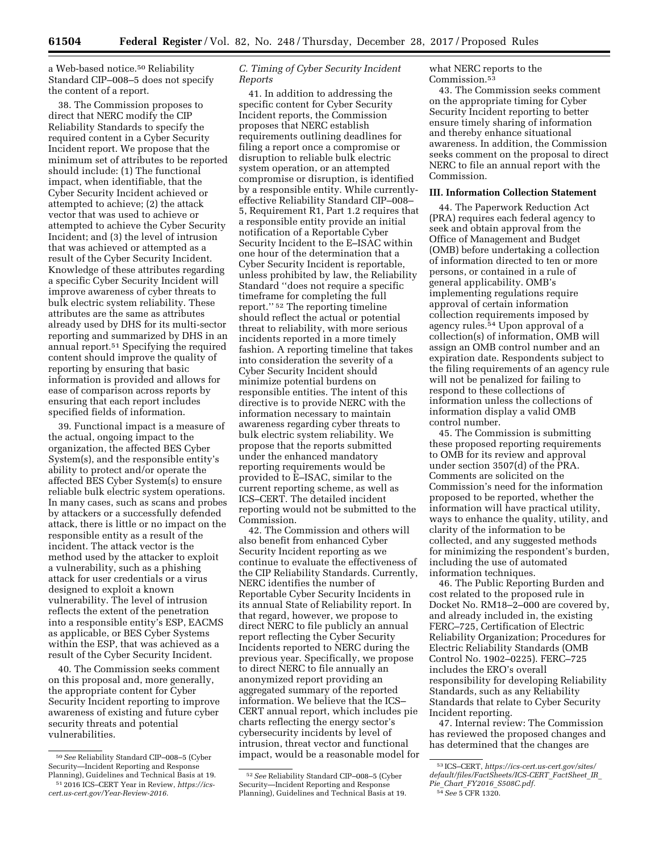a Web-based notice.50 Reliability Standard CIP–008–5 does not specify the content of a report.

38. The Commission proposes to direct that NERC modify the CIP Reliability Standards to specify the required content in a Cyber Security Incident report. We propose that the minimum set of attributes to be reported should include: (1) The functional impact, when identifiable, that the Cyber Security Incident achieved or attempted to achieve; (2) the attack vector that was used to achieve or attempted to achieve the Cyber Security Incident; and (3) the level of intrusion that was achieved or attempted as a result of the Cyber Security Incident. Knowledge of these attributes regarding a specific Cyber Security Incident will improve awareness of cyber threats to bulk electric system reliability. These attributes are the same as attributes already used by DHS for its multi-sector reporting and summarized by DHS in an annual report.51 Specifying the required content should improve the quality of reporting by ensuring that basic information is provided and allows for ease of comparison across reports by ensuring that each report includes specified fields of information.

39. Functional impact is a measure of the actual, ongoing impact to the organization, the affected BES Cyber System(s), and the responsible entity's ability to protect and/or operate the affected BES Cyber System(s) to ensure reliable bulk electric system operations. In many cases, such as scans and probes by attackers or a successfully defended attack, there is little or no impact on the responsible entity as a result of the incident. The attack vector is the method used by the attacker to exploit a vulnerability, such as a phishing attack for user credentials or a virus designed to exploit a known vulnerability. The level of intrusion reflects the extent of the penetration into a responsible entity's ESP, EACMS as applicable, or BES Cyber Systems within the ESP, that was achieved as a result of the Cyber Security Incident.

40. The Commission seeks comment on this proposal and, more generally, the appropriate content for Cyber Security Incident reporting to improve awareness of existing and future cyber security threats and potential vulnerabilities.

# *C. Timing of Cyber Security Incident Reports*

41. In addition to addressing the specific content for Cyber Security Incident reports, the Commission proposes that NERC establish requirements outlining deadlines for filing a report once a compromise or disruption to reliable bulk electric system operation, or an attempted compromise or disruption, is identified by a responsible entity. While currentlyeffective Reliability Standard CIP–008– 5, Requirement R1, Part 1.2 requires that a responsible entity provide an initial notification of a Reportable Cyber Security Incident to the E–ISAC within one hour of the determination that a Cyber Security Incident is reportable, unless prohibited by law, the Reliability Standard ''does not require a specific timeframe for completing the full report.'' 52 The reporting timeline should reflect the actual or potential threat to reliability, with more serious incidents reported in a more timely fashion. A reporting timeline that takes into consideration the severity of a Cyber Security Incident should minimize potential burdens on responsible entities. The intent of this directive is to provide NERC with the information necessary to maintain awareness regarding cyber threats to bulk electric system reliability. We propose that the reports submitted under the enhanced mandatory reporting requirements would be provided to E–ISAC, similar to the current reporting scheme, as well as ICS–CERT. The detailed incident reporting would not be submitted to the Commission.

42. The Commission and others will also benefit from enhanced Cyber Security Incident reporting as we continue to evaluate the effectiveness of the CIP Reliability Standards. Currently, NERC identifies the number of Reportable Cyber Security Incidents in its annual State of Reliability report. In that regard, however, we propose to direct NERC to file publicly an annual report reflecting the Cyber Security Incidents reported to NERC during the previous year. Specifically, we propose to direct NERC to file annually an anonymized report providing an aggregated summary of the reported information. We believe that the ICS– CERT annual report, which includes pie charts reflecting the energy sector's cybersecurity incidents by level of intrusion, threat vector and functional impact, would be a reasonable model for what NERC reports to the Commission.53

43. The Commission seeks comment on the appropriate timing for Cyber Security Incident reporting to better ensure timely sharing of information and thereby enhance situational awareness. In addition, the Commission seeks comment on the proposal to direct NERC to file an annual report with the Commission.

#### **III. Information Collection Statement**

44. The Paperwork Reduction Act (PRA) requires each federal agency to seek and obtain approval from the Office of Management and Budget (OMB) before undertaking a collection of information directed to ten or more persons, or contained in a rule of general applicability. OMB's implementing regulations require approval of certain information collection requirements imposed by agency rules.54 Upon approval of a collection(s) of information, OMB will assign an OMB control number and an expiration date. Respondents subject to the filing requirements of an agency rule will not be penalized for failing to respond to these collections of information unless the collections of information display a valid OMB control number.

45. The Commission is submitting these proposed reporting requirements to OMB for its review and approval under section 3507(d) of the PRA. Comments are solicited on the Commission's need for the information proposed to be reported, whether the information will have practical utility, ways to enhance the quality, utility, and clarity of the information to be collected, and any suggested methods for minimizing the respondent's burden, including the use of automated information techniques.

46. The Public Reporting Burden and cost related to the proposed rule in Docket No. RM18–2–000 are covered by, and already included in, the existing FERC–725, Certification of Electric Reliability Organization; Procedures for Electric Reliability Standards (OMB Control No. 1902–0225). FERC–725 includes the ERO's overall responsibility for developing Reliability Standards, such as any Reliability Standards that relate to Cyber Security Incident reporting.

47. Internal review: The Commission has reviewed the proposed changes and has determined that the changes are

<sup>50</sup>*See* Reliability Standard CIP–008–5 (Cyber Security—Incident Reporting and Response Planning), Guidelines and Technical Basis at 19. 51 2016 ICS–CERT Year in Review, *[https://ics-](https://ics-cert.us-cert.gov/Year-Review-2016)*

*[cert.us-cert.gov/Year-Review-2016.](https://ics-cert.us-cert.gov/Year-Review-2016)* 

<sup>52</sup>*See* Reliability Standard CIP–008–5 (Cyber Security—Incident Reporting and Response Planning), Guidelines and Technical Basis at 19.

<sup>53</sup> ICS–CERT, *[https://ics-cert.us-cert.gov/sites/](https://ics-cert.us-cert.gov/sites/default/files/FactSheets/ICS-CERT_FactSheet_IR_Pie_Chart_FY2016_S508C.pdf)  [default/files/FactSheets/ICS-CERT](https://ics-cert.us-cert.gov/sites/default/files/FactSheets/ICS-CERT_FactSheet_IR_Pie_Chart_FY2016_S508C.pdf)*\_*FactSheet*\_*IR*\_

*Pie*\_*Chart*\_*FY2016*\_*[S508C.pdf.](https://ics-cert.us-cert.gov/sites/default/files/FactSheets/ICS-CERT_FactSheet_IR_Pie_Chart_FY2016_S508C.pdf)*  54*See* 5 CFR 1320.